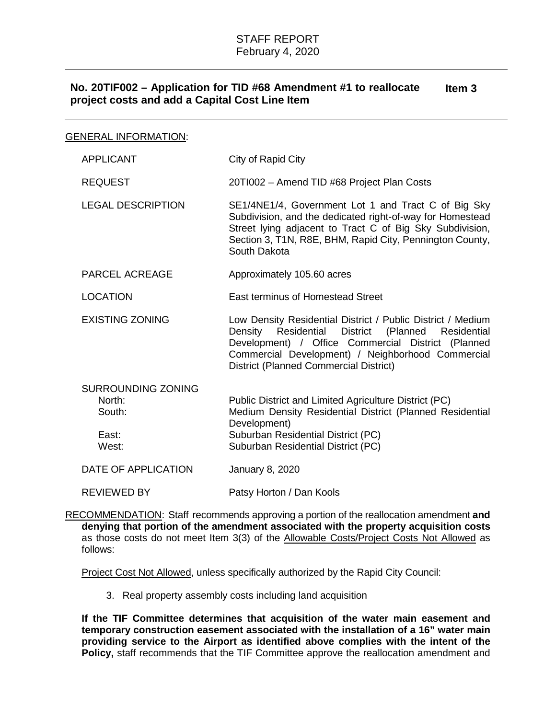## **No. 20TIF002 – Application for TID #68 Amendment #1 to reallocate project costs and add a Capital Cost Line Item Item 3**

| <b>GENERAL INFORMATION:</b> |
|-----------------------------|
|-----------------------------|

| <b>APPLICANT</b>                                                | City of Rapid City                                                                                                                                                                                                                                                                 |
|-----------------------------------------------------------------|------------------------------------------------------------------------------------------------------------------------------------------------------------------------------------------------------------------------------------------------------------------------------------|
| <b>REQUEST</b>                                                  | 20TI002 - Amend TID #68 Project Plan Costs                                                                                                                                                                                                                                         |
| <b>LEGAL DESCRIPTION</b>                                        | SE1/4NE1/4, Government Lot 1 and Tract C of Big Sky<br>Subdivision, and the dedicated right-of-way for Homestead<br>Street lying adjacent to Tract C of Big Sky Subdivision,<br>Section 3, T1N, R8E, BHM, Rapid City, Pennington County,<br>South Dakota                           |
| <b>PARCEL ACREAGE</b>                                           | Approximately 105.60 acres                                                                                                                                                                                                                                                         |
| <b>LOCATION</b>                                                 | East terminus of Homestead Street                                                                                                                                                                                                                                                  |
| <b>EXISTING ZONING</b>                                          | Low Density Residential District / Public District / Medium<br>Density<br>Residential District (Planned<br>Residential<br>Development) / Office Commercial District (Planned<br>Commercial Development) / Neighborhood Commercial<br><b>District (Planned Commercial District)</b> |
| <b>SURROUNDING ZONING</b><br>North:<br>South:<br>East:<br>West: | Public District and Limited Agriculture District (PC)<br>Medium Density Residential District (Planned Residential<br>Development)<br>Suburban Residential District (PC)<br>Suburban Residential District (PC)                                                                      |
|                                                                 |                                                                                                                                                                                                                                                                                    |
| DATE OF APPLICATION                                             | <b>January 8, 2020</b>                                                                                                                                                                                                                                                             |
| <b>REVIEWED BY</b>                                              | Patsy Horton / Dan Kools                                                                                                                                                                                                                                                           |

RECOMMENDATION: Staff recommends approving a portion of the reallocation amendment **and denying that portion of the amendment associated with the property acquisition costs** as those costs do not meet Item 3(3) of the Allowable Costs/Project Costs Not Allowed as follows:

Project Cost Not Allowed, unless specifically authorized by the Rapid City Council:

3. Real property assembly costs including land acquisition

**If the TIF Committee determines that acquisition of the water main easement and temporary construction easement associated with the installation of a 16" water main providing service to the Airport as identified above complies with the intent of the**  Policy, staff recommends that the TIF Committee approve the reallocation amendment and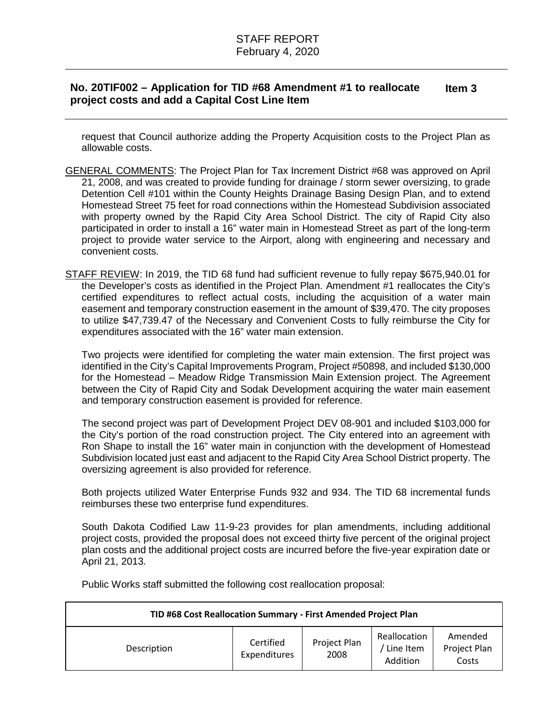## **No. 20TIF002 – Application for TID #68 Amendment #1 to reallocate project costs and add a Capital Cost Line Item Item 3**

request that Council authorize adding the Property Acquisition costs to the Project Plan as allowable costs.

- GENERAL COMMENTS: The Project Plan for Tax Increment District #68 was approved on April 21, 2008, and was created to provide funding for drainage / storm sewer oversizing, to grade Detention Cell #101 within the County Heights Drainage Basing Design Plan, and to extend Homestead Street 75 feet for road connections within the Homestead Subdivision associated with property owned by the Rapid City Area School District. The city of Rapid City also participated in order to install a 16" water main in Homestead Street as part of the long-term project to provide water service to the Airport, along with engineering and necessary and convenient costs.
- STAFF REVIEW: In 2019, the TID 68 fund had sufficient revenue to fully repay \$675,940.01 for the Developer's costs as identified in the Project Plan. Amendment #1 reallocates the City's certified expenditures to reflect actual costs, including the acquisition of a water main easement and temporary construction easement in the amount of \$39,470. The city proposes to utilize \$47,739.47 of the Necessary and Convenient Costs to fully reimburse the City for expenditures associated with the 16" water main extension.

Two projects were identified for completing the water main extension. The first project was identified in the City's Capital Improvements Program, Project #50898, and included \$130,000 for the Homestead – Meadow Ridge Transmission Main Extension project. The Agreement between the City of Rapid City and Sodak Development acquiring the water main easement and temporary construction easement is provided for reference.

The second project was part of Development Project DEV 08-901 and included \$103,000 for the City's portion of the road construction project. The City entered into an agreement with Ron Shape to install the 16" water main in conjunction with the development of Homestead Subdivision located just east and adjacent to the Rapid City Area School District property. The oversizing agreement is also provided for reference.

Both projects utilized Water Enterprise Funds 932 and 934. The TID 68 incremental funds reimburses these two enterprise fund expenditures.

South Dakota Codified Law 11-9-23 provides for plan amendments, including additional project costs, provided the proposal does not exceed thirty five percent of the original project plan costs and the additional project costs are incurred before the five-year expiration date or April 21, 2013.

Public Works staff submitted the following cost reallocation proposal:

| TID #68 Cost Reallocation Summary - First Amended Project Plan |                           |                      |                                       |                                  |  |  |
|----------------------------------------------------------------|---------------------------|----------------------|---------------------------------------|----------------------------------|--|--|
| Description                                                    | Certified<br>Expenditures | Project Plan<br>2008 | Reallocation<br>Line Item<br>Addition | Amended<br>Project Plan<br>Costs |  |  |